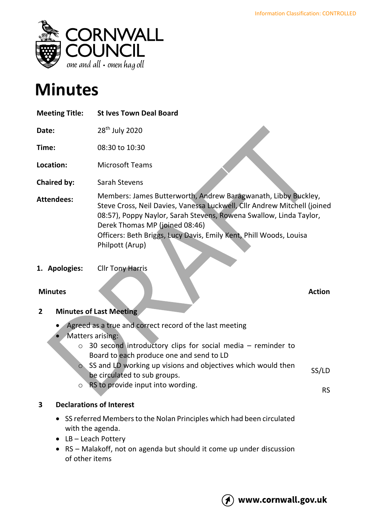

# **Minutes**

| <b>Meeting Title:</b> | <b>St Ives Town Deal Board</b>                                                                                                                                                                                                                                                                                                              |
|-----------------------|---------------------------------------------------------------------------------------------------------------------------------------------------------------------------------------------------------------------------------------------------------------------------------------------------------------------------------------------|
| Date:                 | 28 <sup>th</sup> July 2020                                                                                                                                                                                                                                                                                                                  |
| Time:                 | 08:30 to 10:30                                                                                                                                                                                                                                                                                                                              |
| Location:             | <b>Microsoft Teams</b>                                                                                                                                                                                                                                                                                                                      |
| <b>Chaired by:</b>    | Sarah Stevens                                                                                                                                                                                                                                                                                                                               |
| <b>Attendees:</b>     | Members: James Butterworth, Andrew Baragwanath, Libby Buckley,<br>Steve Cross, Neil Davies, Vanessa Luckwell, Cllr Andrew Mitchell (joined<br>08:57), Poppy Naylor, Sarah Stevens, Rowena Swallow, Linda Taylor,<br>Derek Thomas MP (joined 08:46)<br>Officers: Beth Briggs, Lucy Davis, Emily Kent, Phill Woods, Louisa<br>Philpott (Arup) |
| 1. Apologies:         | <b>Cllr Tony Harris</b>                                                                                                                                                                                                                                                                                                                     |

# **Minutes Action**

# **2 Minutes of Last Meeting**

- Agreed as a true and correct record of the last meeting
- Matters arising:
	- o 30 second introductory clips for social media reminder to Board to each produce one and send to LD
	- $\circ$  SS and LD working up visions and objectives which would then be circulated to sub groups. SS/LD
	- o RS to provide input into wording.

# **3 Declarations of Interest**

- SS referred Members to the Nolan Principles which had been circulated with the agenda.
- LB Leach Pottery
- RS Malakoff, not on agenda but should it come up under discussion of other items

RS

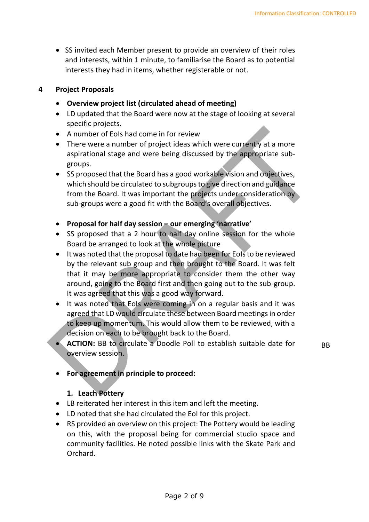• SS invited each Member present to provide an overview of their roles and interests, within 1 minute, to familiarise the Board as to potential interests they had in items, whether registerable or not.

#### **4 Project Proposals**

- **Overview project list (circulated ahead of meeting)**
- LD updated that the Board were now at the stage of looking at several specific projects.
- A number of EoIs had come in for review
- There were a number of project ideas which were currently at a more aspirational stage and were being discussed by the appropriate subgroups.
- SS proposed that the Board has a good workable vision and objectives, which should be circulated to subgroups to give direction and guidance from the Board. It was important the projects under consideration by sub-groups were a good fit with the Board's overall objectives.
- **Proposal for half day session – our emerging 'narrative'**
- SS proposed that a 2 hour to half day online session for the whole Board be arranged to look at the whole picture
- It was noted that the proposal to date had been for EoIs to be reviewed by the relevant sub group and then brought to the Board. It was felt that it may be more appropriate to consider them the other way around, going to the Board first and then going out to the sub-group. It was agreed that this was a good way forward.
- It was noted that EoIs were coming in on a regular basis and it was agreed that LD would circulate these between Board meetings in order to keep up momentum. This would allow them to be reviewed, with a decision on each to be brought back to the Board.
- **ACTION:** BB to circulate a Doodle Poll to establish suitable date for overview session.

BB

# • **For agreement in principle to proceed:**

#### **1. Leach Pottery**

- LB reiterated her interest in this item and left the meeting.
- LD noted that she had circulated the EoI for this project.
- RS provided an overview on this project: The Pottery would be leading on this, with the proposal being for commercial studio space and community facilities. He noted possible links with the Skate Park and Orchard.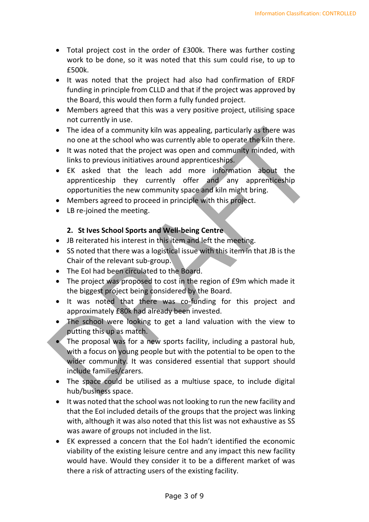- Total project cost in the order of £300k. There was further costing work to be done, so it was noted that this sum could rise, to up to £500k.
- It was noted that the project had also had confirmation of ERDF funding in principle from CLLD and that if the project was approved by the Board, this would then form a fully funded project.
- Members agreed that this was a very positive project, utilising space not currently in use.
- The idea of a community kiln was appealing, particularly as there was no one at the school who was currently able to operate the kiln there.
- It was noted that the project was open and community minded, with links to previous initiatives around apprenticeships.
- EK asked that the leach add more information about the apprenticeship they currently offer and any apprenticeship opportunities the new community space and kiln might bring.
- Members agreed to proceed in principle with this project.
- LB re-joined the meeting.

# **2. St Ives School Sports and Well-being Centre**

- JB reiterated his interest in this item and left the meeting.
- SS noted that there was a logistical issue with this item in that JB is the Chair of the relevant sub-group.
- The EoI had been circulated to the Board.
- The project was proposed to cost in the region of £9m which made it the biggest project being considered by the Board.
- It was noted that there was co-funding for this project and approximately £80k had already been invested.
- The school were looking to get a land valuation with the view to putting this up as match.
- The proposal was for a new sports facility, including a pastoral hub, with a focus on young people but with the potential to be open to the wider community. It was considered essential that support should include families/carers.
- The space could be utilised as a multiuse space, to include digital hub/business space.
- It was noted that the school was not looking to run the new facility and that the EoI included details of the groups that the project was linking with, although it was also noted that this list was not exhaustive as SS was aware of groups not included in the list.
- EK expressed a concern that the EoI hadn't identified the economic viability of the existing leisure centre and any impact this new facility would have. Would they consider it to be a different market of was there a risk of attracting users of the existing facility.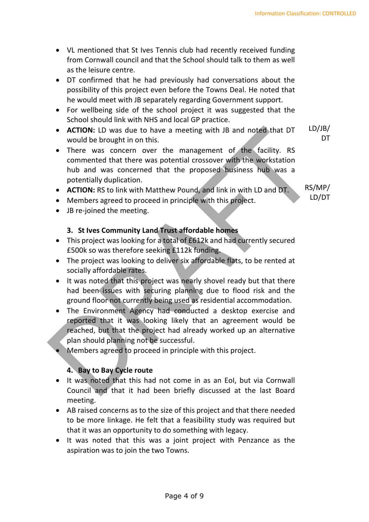- VL mentioned that St Ives Tennis club had recently received funding from Cornwall council and that the School should talk to them as well as the leisure centre.
- DT confirmed that he had previously had conversations about the possibility of this project even before the Towns Deal. He noted that he would meet with JB separately regarding Government support.
- For wellbeing side of the school project it was suggested that the School should link with NHS and local GP practice.
- **ACTION:** LD was due to have a meeting with JB and noted that DT would be brought in on this. LD/JB/ **DT**
- There was concern over the management of the facility. RS commented that there was potential crossover with the workstation hub and was concerned that the proposed business hub was a potentially duplication.
- **ACTION:** RS to link with Matthew Pound, and link in with LD and DT.
- Members agreed to proceed in principle with this project.
- JB re-joined the meeting.

# **3. St Ives Community Land Trust affordable homes**

- This project was looking for a total of £612k and had currently secured £500k so was therefore seeking £112k funding.
- The project was looking to deliver six affordable flats, to be rented at socially affordable rates.
- It was noted that this project was nearly shovel ready but that there had been issues with securing planning due to flood risk and the ground floor not currently being used as residential accommodation.
- The Environment Agency had conducted a desktop exercise and reported that it was looking likely that an agreement would be reached, but that the project had already worked up an alternative plan should planning not be successful.
- Members agreed to proceed in principle with this project.

# **4. Bay to Bay Cycle route**

- It was noted that this had not come in as an EoI, but via Cornwall Council and that it had been briefly discussed at the last Board meeting.
- AB raised concerns as to the size of this project and that there needed to be more linkage. He felt that a feasibility study was required but that it was an opportunity to do something with legacy.
- It was noted that this was a joint project with Penzance as the aspiration was to join the two Towns.

RS/MP/ LD/DT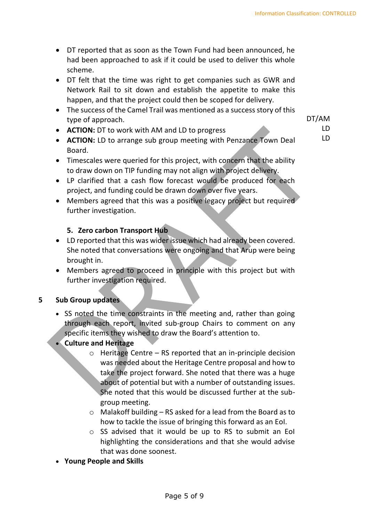DT/AM LD LD

- DT reported that as soon as the Town Fund had been announced, he had been approached to ask if it could be used to deliver this whole scheme.
- DT felt that the time was right to get companies such as GWR and Network Rail to sit down and establish the appetite to make this happen, and that the project could then be scoped for delivery.
- The success of the Camel Trail was mentioned as a success story of this type of approach.
- **ACTION:** DT to work with AM and LD to progress
- **ACTION:** LD to arrange sub group meeting with Penzance Town Deal Board.
- Timescales were queried for this project, with concern that the ability to draw down on TIP funding may not align with project delivery.
- LP clarified that a cash flow forecast would be produced for each project, and funding could be drawn down over five years.
- Members agreed that this was a positive legacy project but required further investigation.

# **5. Zero carbon Transport Hub**

- LD reported that this was wider issue which had already been covered. She noted that conversations were ongoing and that Arup were being brought in.
- Members agreed to proceed in principle with this project but with further investigation required.

# **5 Sub Group updates**

- SS noted the time constraints in the meeting and, rather than going through each report, invited sub-group Chairs to comment on any specific items they wished to draw the Board's attention to.
- **Culture and Heritage**
	- $\circ$  Heritage Centre RS reported that an in-principle decision was needed about the Heritage Centre proposal and how to take the project forward. She noted that there was a huge about of potential but with a number of outstanding issues. She noted that this would be discussed further at the subgroup meeting.
	- $\circ$  Malakoff building RS asked for a lead from the Board as to how to tackle the issue of bringing this forward as an EoI.
	- o SS advised that it would be up to RS to submit an EoI highlighting the considerations and that she would advise that was done soonest.
- **Young People and Skills**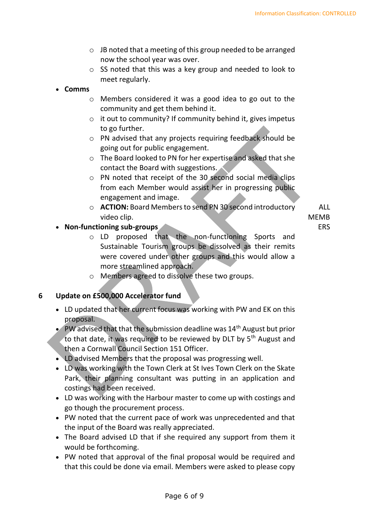- o JB noted that a meeting of this group needed to be arranged now the school year was over.
- o SS noted that this was a key group and needed to look to meet regularly.

#### • **Comms**

- o Members considered it was a good idea to go out to the community and get them behind it.
- o it out to community? If community behind it, gives impetus to go further.
- o PN advised that any projects requiring feedback should be going out for public engagement.
- o The Board looked to PN for her expertise and asked that she contact the Board with suggestions.
- o PN noted that receipt of the 30 second social media clips from each Member would assist her in progressing public engagement and image.
- o **ACTION:** Board Members to send PN 30 second introductory video clip.

# • **Non-functioning sub-groups**

- o LD proposed that the non-functioning Sports and Sustainable Tourism groups be dissolved as their remits were covered under other groups and this would allow a more streamlined approach.
- o Members agreed to dissolve these two groups.

# **6 Update on £500,000 Accelerator fund**

- LD updated that her current focus was working with PW and EK on this proposal.
- PW advised that that the submission deadline was  $14<sup>th</sup>$  August but prior to that date, it was required to be reviewed by DLT by 5th August and then a Cornwall Council Section 151 Officer.
- LD advised Members that the proposal was progressing well.
- LD was working with the Town Clerk at St Ives Town Clerk on the Skate Park, their planning consultant was putting in an application and costings had been received.
- LD was working with the Harbour master to come up with costings and go though the procurement process.
- PW noted that the current pace of work was unprecedented and that the input of the Board was really appreciated.
- The Board advised LD that if she required any support from them it would be forthcoming.
- PW noted that approval of the final proposal would be required and that this could be done via email. Members were asked to please copy

Page 6 of 9

ALL MEMB ERS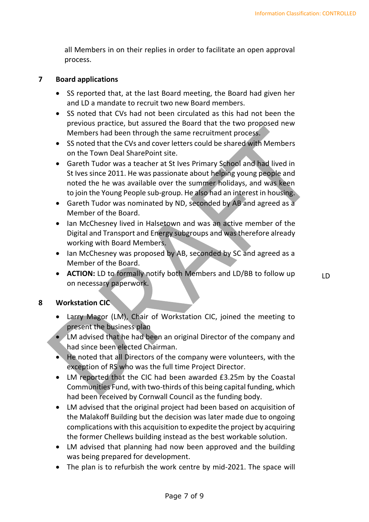all Members in on their replies in order to facilitate an open approval process.

#### **7 Board applications**

- SS reported that, at the last Board meeting, the Board had given her and LD a mandate to recruit two new Board members.
- SS noted that CVs had not been circulated as this had not been the previous practice, but assured the Board that the two proposed new Members had been through the same recruitment process.
- SS noted that the CVs and cover letters could be shared with Members on the Town Deal SharePoint site.
- Gareth Tudor was a teacher at St Ives Primary School and had lived in St Ives since 2011. He was passionate about helping young people and noted the he was available over the summer holidays, and was keen to join the Young People sub-group. He also had an interest in housing.
- Gareth Tudor was nominated by ND, seconded by AB and agreed as a Member of the Board.
- Ian McChesney lived in Halsetown and was an active member of the Digital and Transport and Energy subgroups and was therefore already working with Board Members.
- Ian McChesney was proposed by AB, seconded by SC and agreed as a Member of the Board.
- **ACTION:** LD to formally notify both Members and LD/BB to follow up on necessary paperwork.

LD

#### **8 Workstation CIC**

- Larry Magor (LM), Chair of Workstation CIC, joined the meeting to present the business plan
- LM advised that he had been an original Director of the company and had since been elected Chairman.
- He noted that all Directors of the company were volunteers, with the exception of RS who was the full time Project Director.
- LM reported that the CIC had been awarded £3.25m by the Coastal Communities Fund, with two-thirds of this being capital funding, which had been received by Cornwall Council as the funding body.
- LM advised that the original project had been based on acquisition of the Malakoff Building but the decision was later made due to ongoing complications with this acquisition to expedite the project by acquiring the former Chellews building instead as the best workable solution.
- LM advised that planning had now been approved and the building was being prepared for development.
- The plan is to refurbish the work centre by mid-2021. The space will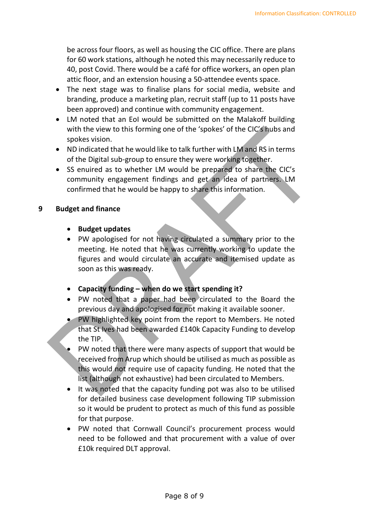be across four floors, as well as housing the CIC office. There are plans for 60 work stations, although he noted this may necessarily reduce to 40, post Covid. There would be a café for office workers, an open plan attic floor, and an extension housing a 50-attendee events space.

- The next stage was to finalise plans for social media, website and branding, produce a marketing plan, recruit staff (up to 11 posts have been approved) and continue with community engagement.
- LM noted that an EoI would be submitted on the Malakoff building with the view to this forming one of the 'spokes' of the CIC's hubs and spokes vision.
- ND indicated that he would like to talk further with LM and RS in terms of the Digital sub-group to ensure they were working together.
- SS enuired as to whether LM would be prepared to share the CIC's community engagement findings and get an idea of partners. LM confirmed that he would be happy to share this information.

#### **9 Budget and finance**

- **Budget updates**
- PW apologised for not having circulated a summary prior to the meeting. He noted that he was currently working to update the figures and would circulate an accurate and itemised update as soon as this was ready.
- **Capacity funding – when do we start spending it?**
- PW noted that a paper had been circulated to the Board the previous day and apologised for not making it available sooner.
- PW highlighted key point from the report to Members. He noted that St Ives had been awarded £140k Capacity Funding to develop the TIP.
- PW noted that there were many aspects of support that would be received from Arup which should be utilised as much as possible as this would not require use of capacity funding. He noted that the list (although not exhaustive) had been circulated to Members.
- It was noted that the capacity funding pot was also to be utilised for detailed business case development following TIP submission so it would be prudent to protect as much of this fund as possible for that purpose.
- PW noted that Cornwall Council's procurement process would need to be followed and that procurement with a value of over £10k required DLT approval.